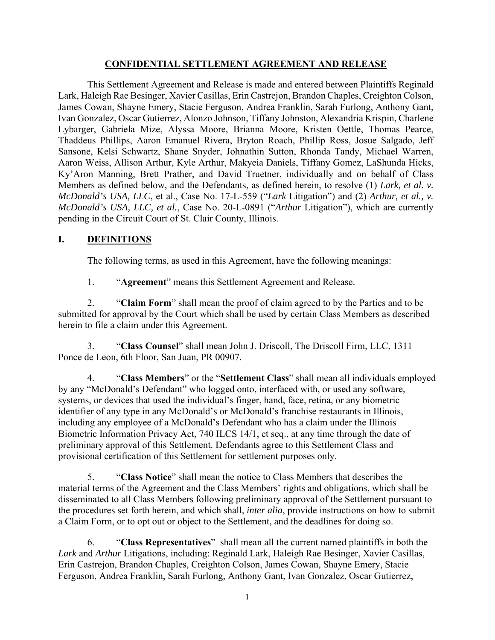#### **CONFIDENTIAL SETTLEMENT AGREEMENT AND RELEASE**

This Settlement Agreement and Release is made and entered between Plaintiffs Reginald Lark, Haleigh Rae Besinger, Xavier Casillas, Erin Castrejon, Brandon Chaples, Creighton Colson, James Cowan, Shayne Emery, Stacie Ferguson, Andrea Franklin, Sarah Furlong, Anthony Gant, Ivan Gonzalez, Oscar Gutierrez, Alonzo Johnson, Tiffany Johnston, Alexandria Krispin, Charlene Lybarger, Gabriela Mize, Alyssa Moore, Brianna Moore, Kristen Oettle, Thomas Pearce, Thaddeus Phillips, Aaron Emanuel Rivera, Bryton Roach, Phillip Ross, Josue Salgado, Jeff Sansone, Kelsi Schwartz, Shane Snyder, Johnathin Sutton, Rhonda Tandy, Michael Warren, Aaron Weiss, Allison Arthur, Kyle Arthur, Makyeia Daniels, Tiffany Gomez, LaShunda Hicks, Ky'Aron Manning, Brett Prather, and David Truetner, individually and on behalf of Class Members as defined below, and the Defendants, as defined herein, to resolve (1) *Lark, et al. v. McDonald's USA, LLC*, et al., Case No. 17-L-559 ("*Lark* Litigation") and (2) *Arthur, et al., v. McDonald's USA, LLC, et al.*, Case No. 20-L-0891 ("*Arthur* Litigation"), which are currently pending in the Circuit Court of St. Clair County, Illinois.

#### **I. DEFINITIONS**

The following terms, as used in this Agreement, have the following meanings:

1. "**Agreement**" means this Settlement Agreement and Release.

2. "**Claim Form**" shall mean the proof of claim agreed to by the Parties and to be submitted for approval by the Court which shall be used by certain Class Members as described herein to file a claim under this Agreement.

3. "**Class Counsel**" shall mean John J. Driscoll, The Driscoll Firm, LLC, 1311 Ponce de Leon, 6th Floor, San Juan, PR 00907.

4. "**Class Members**" or the "**Settlement Class**" shall mean all individuals employed by any "McDonald's Defendant" who logged onto, interfaced with, or used any software, systems, or devices that used the individual's finger, hand, face, retina, or any biometric identifier of any type in any McDonald's or McDonald's franchise restaurants in Illinois, including any employee of a McDonald's Defendant who has a claim under the Illinois Biometric Information Privacy Act, 740 ILCS 14/1, et seq., at any time through the date of preliminary approval of this Settlement. Defendants agree to this Settlement Class and provisional certification of this Settlement for settlement purposes only.

5. "**Class Notice**" shall mean the notice to Class Members that describes the material terms of the Agreement and the Class Members' rights and obligations, which shall be disseminated to all Class Members following preliminary approval of the Settlement pursuant to the procedures set forth herein, and which shall, *inter alia*, provide instructions on how to submit a Claim Form, or to opt out or object to the Settlement, and the deadlines for doing so.

6. "**Class Representatives**" shall mean all the current named plaintiffs in both the *Lark* and *Arthur* Litigations, including: Reginald Lark, Haleigh Rae Besinger, Xavier Casillas, Erin Castrejon, Brandon Chaples, Creighton Colson, James Cowan, Shayne Emery, Stacie Ferguson, Andrea Franklin, Sarah Furlong, Anthony Gant, Ivan Gonzalez, Oscar Gutierrez,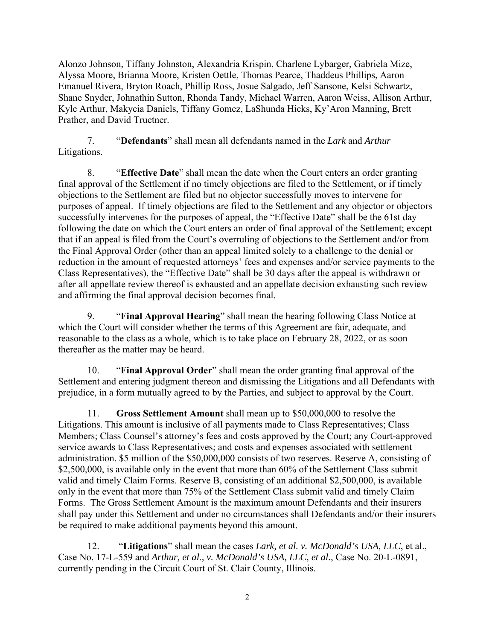Alonzo Johnson, Tiffany Johnston, Alexandria Krispin, Charlene Lybarger, Gabriela Mize, Alyssa Moore, Brianna Moore, Kristen Oettle, Thomas Pearce, Thaddeus Phillips, Aaron Emanuel Rivera, Bryton Roach, Phillip Ross, Josue Salgado, Jeff Sansone, Kelsi Schwartz, Shane Snyder, Johnathin Sutton, Rhonda Tandy, Michael Warren, Aaron Weiss, Allison Arthur, Kyle Arthur, Makyeia Daniels, Tiffany Gomez, LaShunda Hicks, Ky'Aron Manning, Brett Prather, and David Truetner.

7. "**Defendants**" shall mean all defendants named in the *Lark* and *Arthur* Litigations.

8. "**Effective Date**" shall mean the date when the Court enters an order granting final approval of the Settlement if no timely objections are filed to the Settlement, or if timely objections to the Settlement are filed but no objector successfully moves to intervene for purposes of appeal. If timely objections are filed to the Settlement and any objector or objectors successfully intervenes for the purposes of appeal, the "Effective Date" shall be the 61st day following the date on which the Court enters an order of final approval of the Settlement; except that if an appeal is filed from the Court's overruling of objections to the Settlement and/or from the Final Approval Order (other than an appeal limited solely to a challenge to the denial or reduction in the amount of requested attorneys' fees and expenses and/or service payments to the Class Representatives), the "Effective Date" shall be 30 days after the appeal is withdrawn or after all appellate review thereof is exhausted and an appellate decision exhausting such review and affirming the final approval decision becomes final.

9. "**Final Approval Hearing**" shall mean the hearing following Class Notice at which the Court will consider whether the terms of this Agreement are fair, adequate, and reasonable to the class as a whole, which is to take place on February 28, 2022, or as soon thereafter as the matter may be heard.

10. "**Final Approval Order**" shall mean the order granting final approval of the Settlement and entering judgment thereon and dismissing the Litigations and all Defendants with prejudice, in a form mutually agreed to by the Parties, and subject to approval by the Court.

11. **Gross Settlement Amount** shall mean up to \$50,000,000 to resolve the Litigations. This amount is inclusive of all payments made to Class Representatives; Class Members; Class Counsel's attorney's fees and costs approved by the Court; any Court-approved service awards to Class Representatives; and costs and expenses associated with settlement administration. \$5 million of the \$50,000,000 consists of two reserves. Reserve A, consisting of \$2,500,000, is available only in the event that more than 60% of the Settlement Class submit valid and timely Claim Forms. Reserve B, consisting of an additional \$2,500,000, is available only in the event that more than 75% of the Settlement Class submit valid and timely Claim Forms. The Gross Settlement Amount is the maximum amount Defendants and their insurers shall pay under this Settlement and under no circumstances shall Defendants and/or their insurers be required to make additional payments beyond this amount.

12. "**Litigations**" shall mean the cases *Lark, et al. v. McDonald's USA, LLC*, et al., Case No. 17-L-559 and *Arthur, et al., v. McDonald's USA, LLC, et al.*, Case No. 20-L-0891, currently pending in the Circuit Court of St. Clair County, Illinois.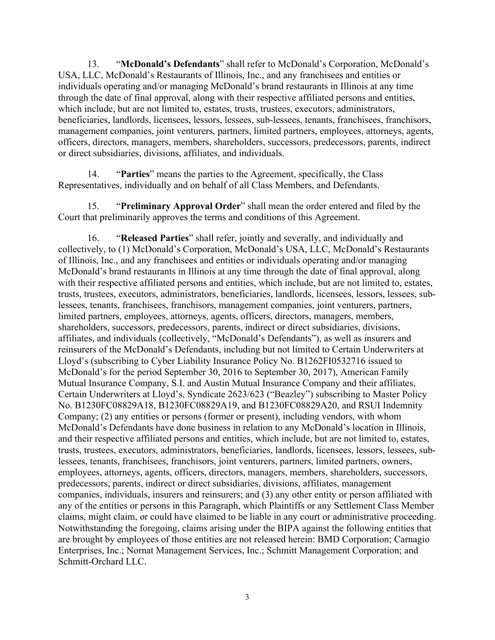13. "**McDonald's Defendants**" shall refer to McDonald's Corporation, McDonald's USA, LLC, McDonald's Restaurants of Illinois, Inc., and any franchisees and entities or individuals operating and/or managing McDonald's brand restaurants in Illinois at any time through the date of final approval, along with their respective affiliated persons and entities, which include, but are not limited to, estates, trusts, trustees, executors, administrators, beneficiaries, landlords, licensees, lessors, lessees, sub-lessees, tenants, franchisees, franchisors, management companies, joint venturers, partners, limited partners, employees, attorneys, agents, officers, directors, managers, members, shareholders, successors, predecessors, parents, indirect or direct subsidiaries, divisions, affiliates, and individuals.

14. "**Parties**" means the parties to the Agreement, specifically, the Class Representatives, individually and on behalf of all Class Members, and Defendants.

15. "**Preliminary Approval Order**" shall mean the order entered and filed by the Court that preliminarily approves the terms and conditions of this Agreement.

16. "**Released Parties**" shall refer, jointly and severally, and individually and collectively, to (1) McDonald's Corporation, McDonald's USA, LLC, McDonald's Restaurants of Illinois, Inc., and any franchisees and entities or individuals operating and/or managing McDonald's brand restaurants in Illinois at any time through the date of final approval, along with their respective affiliated persons and entities, which include, but are not limited to, estates, trusts, trustees, executors, administrators, beneficiaries, landlords, licensees, lessors, lessees, sublessees, tenants, franchisees, franchisors, management companies, joint venturers, partners, limited partners, employees, attorneys, agents, officers, directors, managers, members, shareholders, successors, predecessors, parents, indirect or direct subsidiaries, divisions, affiliates, and individuals (collectively, "McDonald's Defendants"), as well as insurers and reinsurers of the McDonald's Defendants, including but not limited to Certain Underwriters at Lloyd's (subscribing to Cyber Liability Insurance Policy No. B1262FI0532716 issued to McDonald's for the period September 30, 2016 to September 30, 2017), American Family Mutual Insurance Company, S.I. and Austin Mutual Insurance Company and their affiliates, Certain Underwriters at Lloyd's, Syndicate 2623/623 ("Beazley") subscribing to Master Policy No. B1230FC08829A18, B1230FC08829A19, and B1230FC08829A20, and RSUI Indemnity Company; (2) any entities or persons (former or present), including vendors, with whom McDonald's Defendants have done business in relation to any McDonald's location in Illinois, and their respective affiliated persons and entities, which include, but are not limited to, estates, trusts, trustees, executors, administrators, beneficiaries, landlords, licensees, lessors, lessees, sublessees, tenants, franchisees, franchisors, joint venturers, partners, limited partners, owners, employees, attorneys, agents, officers, directors, managers, members, shareholders, successors, predecessors, parents, indirect or direct subsidiaries, divisions, affiliates, management companies, individuals, insurers and reinsurers; and (3) any other entity or person affiliated with any of the entities or persons in this Paragraph, which Plaintiffs or any Settlement Class Member claims, might claim, or could have claimed to be liable in any court or administrative proceeding. Notwithstanding the foregoing, claims arising under the BIPA against the following entities that are brought by employees of those entities are not released herein: BMD Corporation; Carnagio Enterprises, Inc.; Nornat Management Services, Inc.; Schmitt Management Corporation; and Schmitt-Orchard LLC.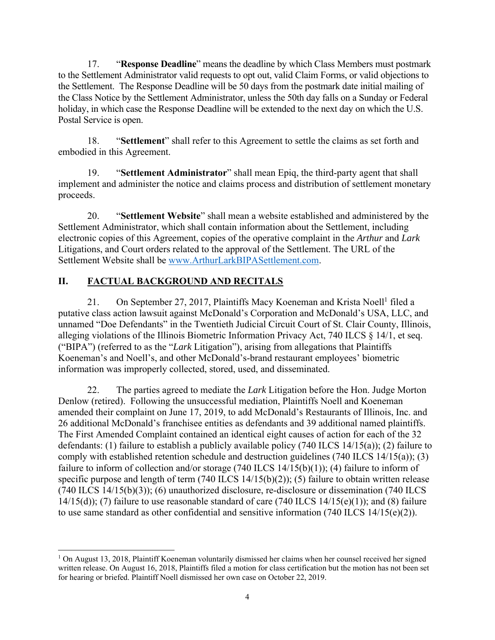17. "**Response Deadline**" means the deadline by which Class Members must postmark to the Settlement Administrator valid requests to opt out, valid Claim Forms, or valid objections to the Settlement. The Response Deadline will be 50 days from the postmark date initial mailing of the Class Notice by the Settlement Administrator, unless the 50th day falls on a Sunday or Federal holiday, in which case the Response Deadline will be extended to the next day on which the U.S. Postal Service is open.

18. "**Settlement**" shall refer to this Agreement to settle the claims as set forth and embodied in this Agreement.

19. "**Settlement Administrator**" shall mean Epiq, the third-party agent that shall implement and administer the notice and claims process and distribution of settlement monetary proceeds.

20. "**Settlement Website**" shall mean a website established and administered by the Settlement Administrator, which shall contain information about the Settlement, including electronic copies of this Agreement, copies of the operative complaint in the *Arthur* and *Lark* Litigations, and Court orders related to the approval of the Settlement. The URL of the Settlement Website shall be www.ArthurLarkBIPASettlement.com.

## **II. FACTUAL BACKGROUND AND RECITALS**

21. On September 27, 2017, Plaintiffs Macy Koeneman and Krista Noell<sup>1</sup> filed a putative class action lawsuit against McDonald's Corporation and McDonald's USA, LLC, and unnamed "Doe Defendants" in the Twentieth Judicial Circuit Court of St. Clair County, Illinois, alleging violations of the Illinois Biometric Information Privacy Act, 740 ILCS § 14/1, et seq. ("BIPA") (referred to as the "*Lark* Litigation"), arising from allegations that Plaintiffs Koeneman's and Noell's, and other McDonald's-brand restaurant employees' biometric information was improperly collected, stored, used, and disseminated.

22. The parties agreed to mediate the *Lark* Litigation before the Hon. Judge Morton Denlow (retired). Following the unsuccessful mediation, Plaintiffs Noell and Koeneman amended their complaint on June 17, 2019, to add McDonald's Restaurants of Illinois, Inc. and 26 additional McDonald's franchisee entities as defendants and 39 additional named plaintiffs. The First Amended Complaint contained an identical eight causes of action for each of the 32 defendants: (1) failure to establish a publicly available policy (740 ILCS 14/15(a)); (2) failure to comply with established retention schedule and destruction guidelines (740 ILCS 14/15(a)); (3) failure to inform of collection and/or storage  $(740$  ILCS  $14/15(b)(1)$ ; (4) failure to inform of specific purpose and length of term (740 ILCS 14/15(b)(2)); (5) failure to obtain written release (740 ILCS 14/15(b)(3)); (6) unauthorized disclosure, re-disclosure or dissemination (740 ILCS 14/15(d)); (7) failure to use reasonable standard of care (740 ILCS 14/15(e)(1)); and (8) failure to use same standard as other confidential and sensitive information (740 ILCS 14/15(e)(2)).

<sup>&</sup>lt;sup>1</sup> On August 13, 2018, Plaintiff Koeneman voluntarily dismissed her claims when her counsel received her signed written release. On August 16, 2018, Plaintiffs filed a motion for class certification but the motion has not been set for hearing or briefed. Plaintiff Noell dismissed her own case on October 22, 2019.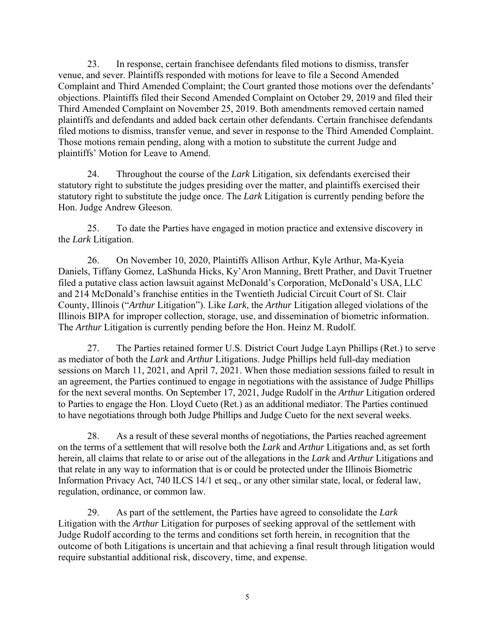23. In response, certain franchisee defendants filed motions to dismiss, transfer venue, and sever. Plaintiffs responded with motions for leave to file a Second Amended Complaint and Third Amended Complaint; the Court granted those motions over the defendants' objections. Plaintiffs filed their Second Amended Complaint on October 29, 2019 and filed their Third Amended Complaint on November 25, 2019. Both amendments removed certain named plaintiffs and defendants and added back certain other defendants. Certain franchisee defendants filed motions to dismiss, transfer venue, and sever in response to the Third Amended Complaint. Those motions remain pending, along with a motion to substitute the current Judge and plaintiffs' Motion for Leave to Amend.

24. Throughout the course of the *Lark* Litigation, six defendants exercised their statutory right to substitute the judges presiding over the matter, and plaintiffs exercised their statutory right to substitute the judge once. The *Lark* Litigation is currently pending before the Hon. Judge Andrew Gleeson.

25. To date the Parties have engaged in motion practice and extensive discovery in the *Lark* Litigation.

26. On November 10, 2020, Plaintiffs Allison Arthur, Kyle Arthur, Ma-Kyeia Daniels, Tiffany Gomez, LaShunda Hicks, Ky'Aron Manning, Brett Prather, and Davit Truetner filed a putative class action lawsuit against McDonald's Corporation, McDonald's USA, LLC and 214 McDonald's franchise entities in the Twentieth Judicial Circuit Court of St. Clair County, Illinois ("*Arthur* Litigation"). Like *Lark*, the *Arthur* Litigation alleged violations of the Illinois BIPA for improper collection, storage, use, and dissemination of biometric information. The *Arthur* Litigation is currently pending before the Hon. Heinz M. Rudolf.

27. The Parties retained former U.S. District Court Judge Layn Phillips (Ret.) to serve as mediator of both the *Lark* and *Arthur* Litigations. Judge Phillips held full-day mediation sessions on March 11, 2021, and April 7, 2021. When those mediation sessions failed to result in an agreement, the Parties continued to engage in negotiations with the assistance of Judge Phillips for the next several months. On September 17, 2021, Judge Rudolf in the *Arthur* Litigation ordered to Parties to engage the Hon. Lloyd Cueto (Ret.) as an additional mediator. The Parties continued to have negotiations through both Judge Phillips and Judge Cueto for the next several weeks.

28. As a result of these several months of negotiations, the Parties reached agreement on the terms of a settlement that will resolve both the *Lark* and *Arthur* Litigations and, as set forth herein, all claims that relate to or arise out of the allegations in the *Lark* and *Arthur* Litigations and that relate in any way to information that is or could be protected under the Illinois Biometric Information Privacy Act, 740 ILCS 14/1 et seq., or any other similar state, local, or federal law, regulation, ordinance, or common law.

29. As part of the settlement, the Parties have agreed to consolidate the *Lark* Litigation with the *Arthur* Litigation for purposes of seeking approval of the settlement with Judge Rudolf according to the terms and conditions set forth herein, in recognition that the outcome of both Litigations is uncertain and that achieving a final result through litigation would require substantial additional risk, discovery, time, and expense.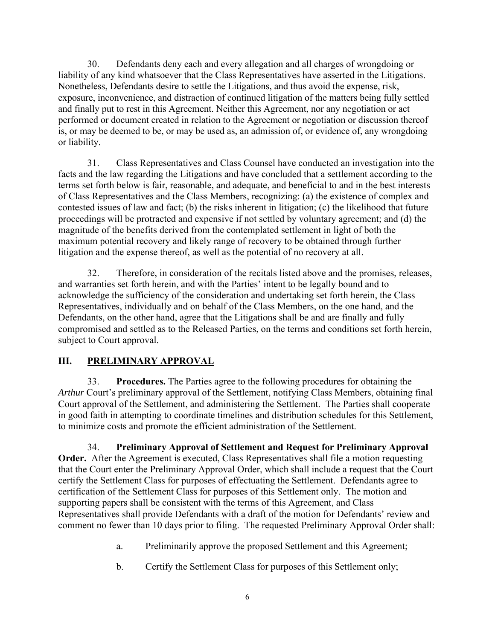30. Defendants deny each and every allegation and all charges of wrongdoing or liability of any kind whatsoever that the Class Representatives have asserted in the Litigations. Nonetheless, Defendants desire to settle the Litigations, and thus avoid the expense, risk, exposure, inconvenience, and distraction of continued litigation of the matters being fully settled and finally put to rest in this Agreement. Neither this Agreement, nor any negotiation or act performed or document created in relation to the Agreement or negotiation or discussion thereof is, or may be deemed to be, or may be used as, an admission of, or evidence of, any wrongdoing or liability.

31. Class Representatives and Class Counsel have conducted an investigation into the facts and the law regarding the Litigations and have concluded that a settlement according to the terms set forth below is fair, reasonable, and adequate, and beneficial to and in the best interests of Class Representatives and the Class Members, recognizing: (a) the existence of complex and contested issues of law and fact; (b) the risks inherent in litigation; (c) the likelihood that future proceedings will be protracted and expensive if not settled by voluntary agreement; and (d) the magnitude of the benefits derived from the contemplated settlement in light of both the maximum potential recovery and likely range of recovery to be obtained through further litigation and the expense thereof, as well as the potential of no recovery at all.

32. Therefore, in consideration of the recitals listed above and the promises, releases, and warranties set forth herein, and with the Parties' intent to be legally bound and to acknowledge the sufficiency of the consideration and undertaking set forth herein, the Class Representatives, individually and on behalf of the Class Members, on the one hand, and the Defendants, on the other hand, agree that the Litigations shall be and are finally and fully compromised and settled as to the Released Parties, on the terms and conditions set forth herein, subject to Court approval.

## **III. PRELIMINARY APPROVAL**

33. **Procedures.** The Parties agree to the following procedures for obtaining the *Arthur* Court's preliminary approval of the Settlement, notifying Class Members, obtaining final Court approval of the Settlement, and administering the Settlement. The Parties shall cooperate in good faith in attempting to coordinate timelines and distribution schedules for this Settlement, to minimize costs and promote the efficient administration of the Settlement.

34. **Preliminary Approval of Settlement and Request for Preliminary Approval Order.** After the Agreement is executed, Class Representatives shall file a motion requesting that the Court enter the Preliminary Approval Order, which shall include a request that the Court certify the Settlement Class for purposes of effectuating the Settlement. Defendants agree to certification of the Settlement Class for purposes of this Settlement only. The motion and supporting papers shall be consistent with the terms of this Agreement, and Class Representatives shall provide Defendants with a draft of the motion for Defendants' review and comment no fewer than 10 days prior to filing. The requested Preliminary Approval Order shall:

- a. Preliminarily approve the proposed Settlement and this Agreement;
- b. Certify the Settlement Class for purposes of this Settlement only;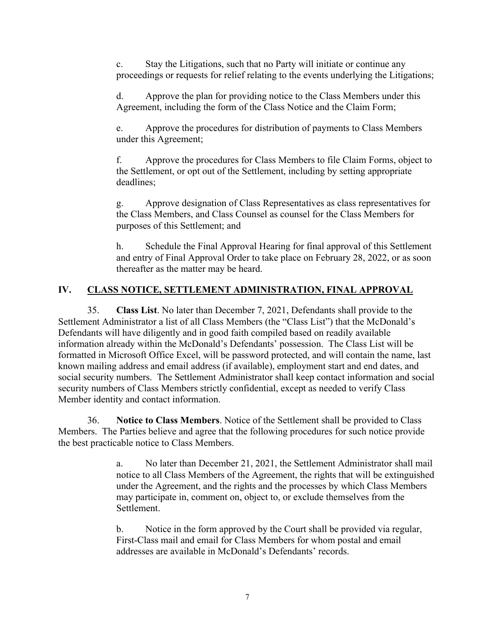c. Stay the Litigations, such that no Party will initiate or continue any proceedings or requests for relief relating to the events underlying the Litigations;

d. Approve the plan for providing notice to the Class Members under this Agreement, including the form of the Class Notice and the Claim Form;

e. Approve the procedures for distribution of payments to Class Members under this Agreement;

f. Approve the procedures for Class Members to file Claim Forms, object to the Settlement, or opt out of the Settlement, including by setting appropriate deadlines;

g. Approve designation of Class Representatives as class representatives for the Class Members, and Class Counsel as counsel for the Class Members for purposes of this Settlement; and

h. Schedule the Final Approval Hearing for final approval of this Settlement and entry of Final Approval Order to take place on February 28, 2022, or as soon thereafter as the matter may be heard.

## **IV. CLASS NOTICE, SETTLEMENT ADMINISTRATION, FINAL APPROVAL**

35. **Class List**. No later than December 7, 2021, Defendants shall provide to the Settlement Administrator a list of all Class Members (the "Class List") that the McDonald's Defendants will have diligently and in good faith compiled based on readily available information already within the McDonald's Defendants' possession. The Class List will be formatted in Microsoft Office Excel, will be password protected, and will contain the name, last known mailing address and email address (if available), employment start and end dates, and social security numbers. The Settlement Administrator shall keep contact information and social security numbers of Class Members strictly confidential, except as needed to verify Class Member identity and contact information.

36. **Notice to Class Members**. Notice of the Settlement shall be provided to Class Members. The Parties believe and agree that the following procedures for such notice provide the best practicable notice to Class Members.

> a. No later than December 21, 2021, the Settlement Administrator shall mail notice to all Class Members of the Agreement, the rights that will be extinguished under the Agreement, and the rights and the processes by which Class Members may participate in, comment on, object to, or exclude themselves from the Settlement.

b. Notice in the form approved by the Court shall be provided via regular, First-Class mail and email for Class Members for whom postal and email addresses are available in McDonald's Defendants' records.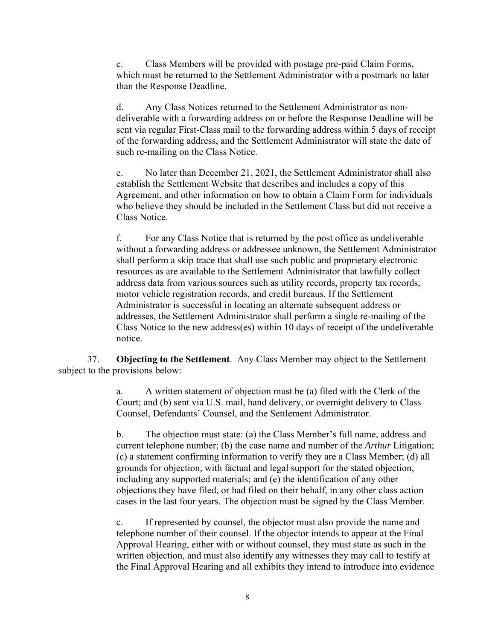c. Class Members will be provided with postage pre-paid Claim Forms, which must be returned to the Settlement Administrator with a postmark no later than the Response Deadline.

d. Any Class Notices returned to the Settlement Administrator as nondeliverable with a forwarding address on or before the Response Deadline will be sent via regular First-Class mail to the forwarding address within 5 days of receipt of the forwarding address, and the Settlement Administrator will state the date of such re-mailing on the Class Notice.

e. No later than December 21, 2021, the Settlement Administrator shall also establish the Settlement Website that describes and includes a copy of this Agreement, and other information on how to obtain a Claim Form for individuals who believe they should be included in the Settlement Class but did not receive a Class Notice.

f. For any Class Notice that is returned by the post office as undeliverable without a forwarding address or addressee unknown, the Settlement Administrator shall perform a skip trace that shall use such public and proprietary electronic resources as are available to the Settlement Administrator that lawfully collect address data from various sources such as utility records, property tax records, motor vehicle registration records, and credit bureaus. If the Settlement Administrator is successful in locating an alternate subsequent address or addresses, the Settlement Administrator shall perform a single re-mailing of the Class Notice to the new address(es) within 10 days of receipt of the undeliverable notice.

37. **Objecting to the Settlement**. Any Class Member may object to the Settlement subject to the provisions below:

> a. A written statement of objection must be (a) filed with the Clerk of the Court; and (b) sent via U.S. mail, hand delivery, or overnight delivery to Class Counsel, Defendants' Counsel, and the Settlement Administrator.

b. The objection must state: (a) the Class Member's full name, address and current telephone number; (b) the case name and number of the *Arthur* Litigation; (c) a statement confirming information to verify they are a Class Member; (d) all grounds for objection, with factual and legal support for the stated objection, including any supported materials; and (e) the identification of any other objections they have filed, or had filed on their behalf, in any other class action cases in the last four years. The objection must be signed by the Class Member.

c. If represented by counsel, the objector must also provide the name and telephone number of their counsel. If the objector intends to appear at the Final Approval Hearing, either with or without counsel, they must state as such in the written objection, and must also identify any witnesses they may call to testify at the Final Approval Hearing and all exhibits they intend to introduce into evidence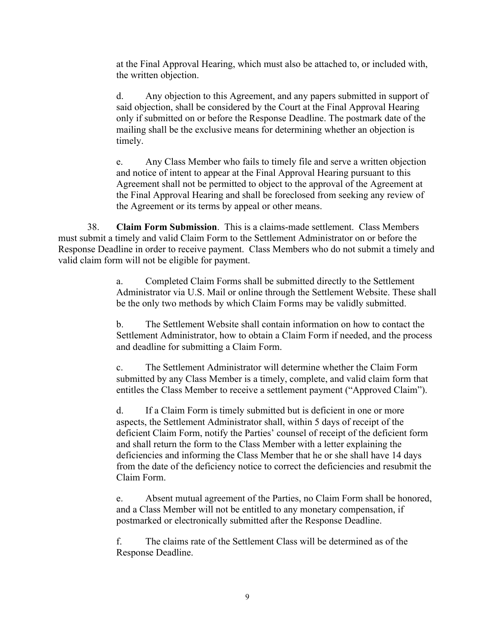at the Final Approval Hearing, which must also be attached to, or included with, the written objection.

d. Any objection to this Agreement, and any papers submitted in support of said objection, shall be considered by the Court at the Final Approval Hearing only if submitted on or before the Response Deadline. The postmark date of the mailing shall be the exclusive means for determining whether an objection is timely.

e. Any Class Member who fails to timely file and serve a written objection and notice of intent to appear at the Final Approval Hearing pursuant to this Agreement shall not be permitted to object to the approval of the Agreement at the Final Approval Hearing and shall be foreclosed from seeking any review of the Agreement or its terms by appeal or other means.

38. **Claim Form Submission**. This is a claims-made settlement. Class Members must submit a timely and valid Claim Form to the Settlement Administrator on or before the Response Deadline in order to receive payment. Class Members who do not submit a timely and valid claim form will not be eligible for payment.

> a. Completed Claim Forms shall be submitted directly to the Settlement Administrator via U.S. Mail or online through the Settlement Website. These shall be the only two methods by which Claim Forms may be validly submitted.

b. The Settlement Website shall contain information on how to contact the Settlement Administrator, how to obtain a Claim Form if needed, and the process and deadline for submitting a Claim Form.

c. The Settlement Administrator will determine whether the Claim Form submitted by any Class Member is a timely, complete, and valid claim form that entitles the Class Member to receive a settlement payment ("Approved Claim").

d. If a Claim Form is timely submitted but is deficient in one or more aspects, the Settlement Administrator shall, within 5 days of receipt of the deficient Claim Form, notify the Parties' counsel of receipt of the deficient form and shall return the form to the Class Member with a letter explaining the deficiencies and informing the Class Member that he or she shall have 14 days from the date of the deficiency notice to correct the deficiencies and resubmit the Claim Form.

e. Absent mutual agreement of the Parties, no Claim Form shall be honored, and a Class Member will not be entitled to any monetary compensation, if postmarked or electronically submitted after the Response Deadline.

f. The claims rate of the Settlement Class will be determined as of the Response Deadline.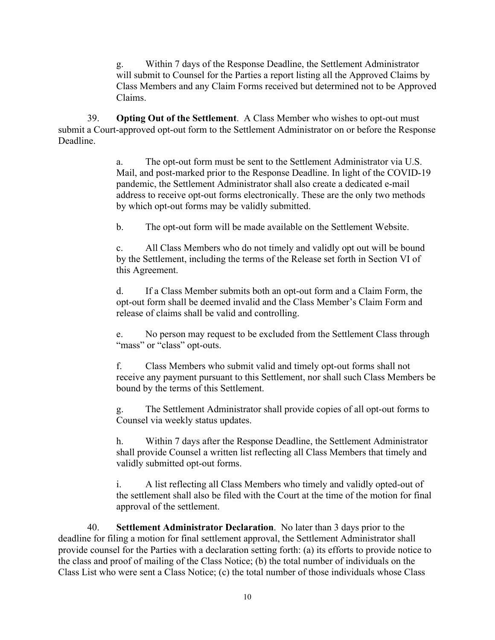g. Within 7 days of the Response Deadline, the Settlement Administrator will submit to Counsel for the Parties a report listing all the Approved Claims by Class Members and any Claim Forms received but determined not to be Approved Claims.

39. **Opting Out of the Settlement**. A Class Member who wishes to opt-out must submit a Court-approved opt-out form to the Settlement Administrator on or before the Response Deadline.

> a. The opt-out form must be sent to the Settlement Administrator via U.S. Mail, and post-marked prior to the Response Deadline. In light of the COVID-19 pandemic, the Settlement Administrator shall also create a dedicated e-mail address to receive opt-out forms electronically. These are the only two methods by which opt-out forms may be validly submitted.

b. The opt-out form will be made available on the Settlement Website.

c. All Class Members who do not timely and validly opt out will be bound by the Settlement, including the terms of the Release set forth in Section VI of this Agreement.

d. If a Class Member submits both an opt-out form and a Claim Form, the opt-out form shall be deemed invalid and the Class Member's Claim Form and release of claims shall be valid and controlling.

e. No person may request to be excluded from the Settlement Class through "mass" or "class" opt-outs.

f. Class Members who submit valid and timely opt-out forms shall not receive any payment pursuant to this Settlement, nor shall such Class Members be bound by the terms of this Settlement.

g. The Settlement Administrator shall provide copies of all opt-out forms to Counsel via weekly status updates.

h. Within 7 days after the Response Deadline, the Settlement Administrator shall provide Counsel a written list reflecting all Class Members that timely and validly submitted opt-out forms.

i. A list reflecting all Class Members who timely and validly opted-out of the settlement shall also be filed with the Court at the time of the motion for final approval of the settlement.

40. **Settlement Administrator Declaration**. No later than 3 days prior to the deadline for filing a motion for final settlement approval, the Settlement Administrator shall provide counsel for the Parties with a declaration setting forth: (a) its efforts to provide notice to the class and proof of mailing of the Class Notice; (b) the total number of individuals on the Class List who were sent a Class Notice; (c) the total number of those individuals whose Class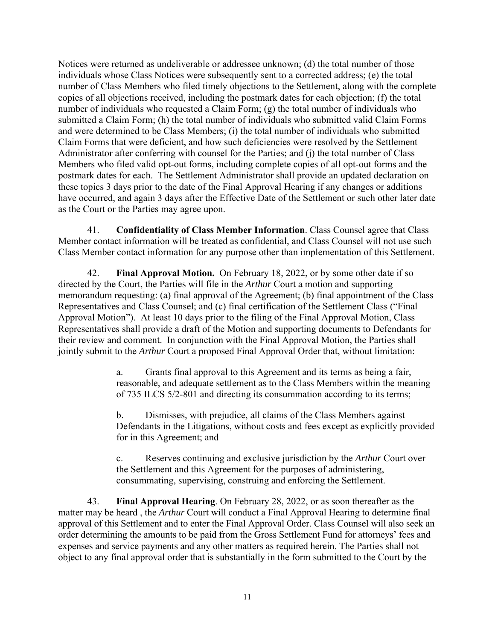Notices were returned as undeliverable or addressee unknown; (d) the total number of those individuals whose Class Notices were subsequently sent to a corrected address; (e) the total number of Class Members who filed timely objections to the Settlement, along with the complete copies of all objections received, including the postmark dates for each objection; (f) the total number of individuals who requested a Claim Form; (g) the total number of individuals who submitted a Claim Form; (h) the total number of individuals who submitted valid Claim Forms and were determined to be Class Members; (i) the total number of individuals who submitted Claim Forms that were deficient, and how such deficiencies were resolved by the Settlement Administrator after conferring with counsel for the Parties; and (j) the total number of Class Members who filed valid opt-out forms, including complete copies of all opt-out forms and the postmark dates for each. The Settlement Administrator shall provide an updated declaration on these topics 3 days prior to the date of the Final Approval Hearing if any changes or additions have occurred, and again 3 days after the Effective Date of the Settlement or such other later date as the Court or the Parties may agree upon.

41. **Confidentiality of Class Member Information**. Class Counsel agree that Class Member contact information will be treated as confidential, and Class Counsel will not use such Class Member contact information for any purpose other than implementation of this Settlement.

42. **Final Approval Motion.** On February 18, 2022, or by some other date if so directed by the Court, the Parties will file in the *Arthur* Court a motion and supporting memorandum requesting: (a) final approval of the Agreement; (b) final appointment of the Class Representatives and Class Counsel; and (c) final certification of the Settlement Class ("Final Approval Motion"). At least 10 days prior to the filing of the Final Approval Motion, Class Representatives shall provide a draft of the Motion and supporting documents to Defendants for their review and comment. In conjunction with the Final Approval Motion, the Parties shall jointly submit to the *Arthur* Court a proposed Final Approval Order that, without limitation:

> a. Grants final approval to this Agreement and its terms as being a fair, reasonable, and adequate settlement as to the Class Members within the meaning of 735 ILCS 5/2-801 and directing its consummation according to its terms;

b. Dismisses, with prejudice, all claims of the Class Members against Defendants in the Litigations, without costs and fees except as explicitly provided for in this Agreement; and

c. Reserves continuing and exclusive jurisdiction by the *Arthur* Court over the Settlement and this Agreement for the purposes of administering, consummating, supervising, construing and enforcing the Settlement.

43. **Final Approval Hearing**. On February 28, 2022, or as soon thereafter as the matter may be heard , the *Arthur* Court will conduct a Final Approval Hearing to determine final approval of this Settlement and to enter the Final Approval Order. Class Counsel will also seek an order determining the amounts to be paid from the Gross Settlement Fund for attorneys' fees and expenses and service payments and any other matters as required herein. The Parties shall not object to any final approval order that is substantially in the form submitted to the Court by the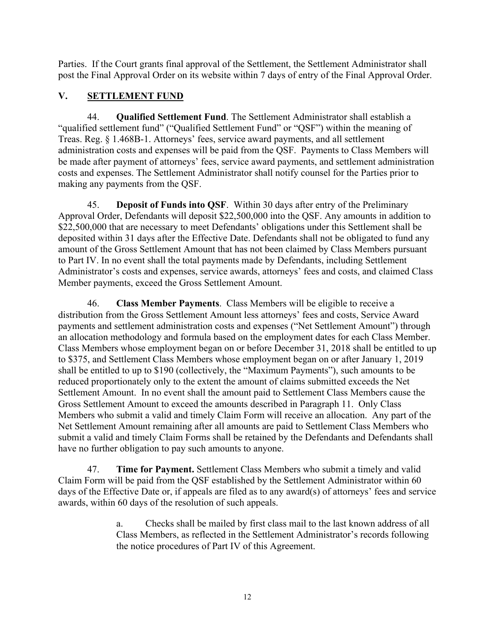Parties. If the Court grants final approval of the Settlement, the Settlement Administrator shall post the Final Approval Order on its website within 7 days of entry of the Final Approval Order.

# **V. SETTLEMENT FUND**

44. **Qualified Settlement Fund**. The Settlement Administrator shall establish a "qualified settlement fund" ("Qualified Settlement Fund" or "QSF") within the meaning of Treas. Reg. § 1.468B-1. Attorneys' fees, service award payments, and all settlement administration costs and expenses will be paid from the QSF. Payments to Class Members will be made after payment of attorneys' fees, service award payments, and settlement administration costs and expenses. The Settlement Administrator shall notify counsel for the Parties prior to making any payments from the QSF.

45. **Deposit of Funds into QSF**. Within 30 days after entry of the Preliminary Approval Order, Defendants will deposit \$22,500,000 into the QSF. Any amounts in addition to \$22,500,000 that are necessary to meet Defendants' obligations under this Settlement shall be deposited within 31 days after the Effective Date. Defendants shall not be obligated to fund any amount of the Gross Settlement Amount that has not been claimed by Class Members pursuant to Part IV. In no event shall the total payments made by Defendants, including Settlement Administrator's costs and expenses, service awards, attorneys' fees and costs, and claimed Class Member payments, exceed the Gross Settlement Amount.

46. **Class Member Payments**. Class Members will be eligible to receive a distribution from the Gross Settlement Amount less attorneys' fees and costs, Service Award payments and settlement administration costs and expenses ("Net Settlement Amount") through an allocation methodology and formula based on the employment dates for each Class Member. Class Members whose employment began on or before December 31, 2018 shall be entitled to up to \$375, and Settlement Class Members whose employment began on or after January 1, 2019 shall be entitled to up to \$190 (collectively, the "Maximum Payments"), such amounts to be reduced proportionately only to the extent the amount of claims submitted exceeds the Net Settlement Amount. In no event shall the amount paid to Settlement Class Members cause the Gross Settlement Amount to exceed the amounts described in Paragraph 11. Only Class Members who submit a valid and timely Claim Form will receive an allocation. Any part of the Net Settlement Amount remaining after all amounts are paid to Settlement Class Members who submit a valid and timely Claim Forms shall be retained by the Defendants and Defendants shall have no further obligation to pay such amounts to anyone.

47. **Time for Payment.** Settlement Class Members who submit a timely and valid Claim Form will be paid from the QSF established by the Settlement Administrator within 60 days of the Effective Date or, if appeals are filed as to any award(s) of attorneys' fees and service awards, within 60 days of the resolution of such appeals.

> a. Checks shall be mailed by first class mail to the last known address of all Class Members, as reflected in the Settlement Administrator's records following the notice procedures of Part IV of this Agreement.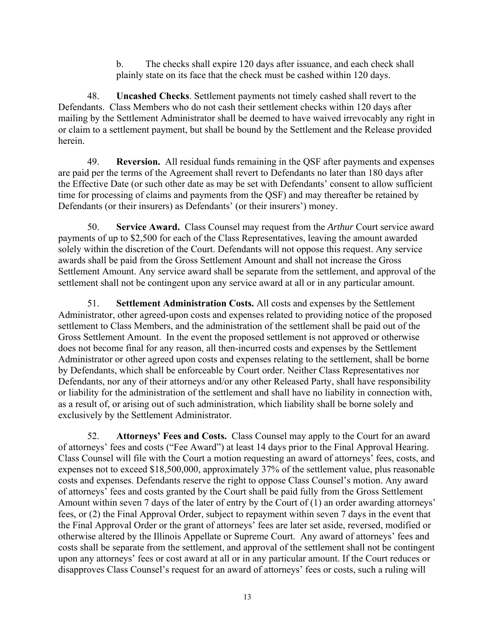b. The checks shall expire 120 days after issuance, and each check shall plainly state on its face that the check must be cashed within 120 days.

48. **Uncashed Checks**. Settlement payments not timely cashed shall revert to the Defendants. Class Members who do not cash their settlement checks within 120 days after mailing by the Settlement Administrator shall be deemed to have waived irrevocably any right in or claim to a settlement payment, but shall be bound by the Settlement and the Release provided herein.

49. **Reversion.** All residual funds remaining in the QSF after payments and expenses are paid per the terms of the Agreement shall revert to Defendants no later than 180 days after the Effective Date (or such other date as may be set with Defendants' consent to allow sufficient time for processing of claims and payments from the QSF) and may thereafter be retained by Defendants (or their insurers) as Defendants' (or their insurers') money.

50. **Service Award.** Class Counsel may request from the *Arthur* Court service award payments of up to \$2,500 for each of the Class Representatives, leaving the amount awarded solely within the discretion of the Court. Defendants will not oppose this request. Any service awards shall be paid from the Gross Settlement Amount and shall not increase the Gross Settlement Amount. Any service award shall be separate from the settlement, and approval of the settlement shall not be contingent upon any service award at all or in any particular amount.

51. **Settlement Administration Costs.** All costs and expenses by the Settlement Administrator, other agreed-upon costs and expenses related to providing notice of the proposed settlement to Class Members, and the administration of the settlement shall be paid out of the Gross Settlement Amount. In the event the proposed settlement is not approved or otherwise does not become final for any reason, all then-incurred costs and expenses by the Settlement Administrator or other agreed upon costs and expenses relating to the settlement, shall be borne by Defendants, which shall be enforceable by Court order. Neither Class Representatives nor Defendants, nor any of their attorneys and/or any other Released Party, shall have responsibility or liability for the administration of the settlement and shall have no liability in connection with, as a result of, or arising out of such administration, which liability shall be borne solely and exclusively by the Settlement Administrator.

52. **Attorneys' Fees and Costs.** Class Counsel may apply to the Court for an award of attorneys' fees and costs ("Fee Award") at least 14 days prior to the Final Approval Hearing. Class Counsel will file with the Court a motion requesting an award of attorneys' fees, costs, and expenses not to exceed \$18,500,000, approximately 37% of the settlement value, plus reasonable costs and expenses. Defendants reserve the right to oppose Class Counsel's motion. Any award of attorneys' fees and costs granted by the Court shall be paid fully from the Gross Settlement Amount within seven 7 days of the later of entry by the Court of (1) an order awarding attorneys' fees, or (2) the Final Approval Order, subject to repayment within seven 7 days in the event that the Final Approval Order or the grant of attorneys' fees are later set aside, reversed, modified or otherwise altered by the Illinois Appellate or Supreme Court. Any award of attorneys' fees and costs shall be separate from the settlement, and approval of the settlement shall not be contingent upon any attorneys' fees or cost award at all or in any particular amount. If the Court reduces or disapproves Class Counsel's request for an award of attorneys' fees or costs, such a ruling will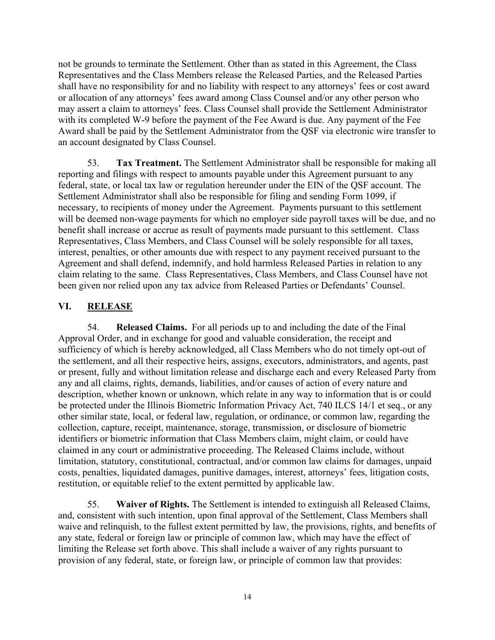not be grounds to terminate the Settlement. Other than as stated in this Agreement, the Class Representatives and the Class Members release the Released Parties, and the Released Parties shall have no responsibility for and no liability with respect to any attorneys' fees or cost award or allocation of any attorneys' fees award among Class Counsel and/or any other person who may assert a claim to attorneys' fees. Class Counsel shall provide the Settlement Administrator with its completed W-9 before the payment of the Fee Award is due. Any payment of the Fee Award shall be paid by the Settlement Administrator from the QSF via electronic wire transfer to an account designated by Class Counsel.

53. **Tax Treatment.** The Settlement Administrator shall be responsible for making all reporting and filings with respect to amounts payable under this Agreement pursuant to any federal, state, or local tax law or regulation hereunder under the EIN of the QSF account. The Settlement Administrator shall also be responsible for filing and sending Form 1099, if necessary, to recipients of money under the Agreement. Payments pursuant to this settlement will be deemed non-wage payments for which no employer side payroll taxes will be due, and no benefit shall increase or accrue as result of payments made pursuant to this settlement. Class Representatives, Class Members, and Class Counsel will be solely responsible for all taxes, interest, penalties, or other amounts due with respect to any payment received pursuant to the Agreement and shall defend, indemnify, and hold harmless Released Parties in relation to any claim relating to the same. Class Representatives, Class Members, and Class Counsel have not been given nor relied upon any tax advice from Released Parties or Defendants' Counsel.

#### **VI. RELEASE**

54. **Released Claims.** For all periods up to and including the date of the Final Approval Order, and in exchange for good and valuable consideration, the receipt and sufficiency of which is hereby acknowledged, all Class Members who do not timely opt-out of the settlement, and all their respective heirs, assigns, executors, administrators, and agents, past or present, fully and without limitation release and discharge each and every Released Party from any and all claims, rights, demands, liabilities, and/or causes of action of every nature and description, whether known or unknown, which relate in any way to information that is or could be protected under the Illinois Biometric Information Privacy Act, 740 ILCS 14/1 et seq., or any other similar state, local, or federal law, regulation, or ordinance, or common law, regarding the collection, capture, receipt, maintenance, storage, transmission, or disclosure of biometric identifiers or biometric information that Class Members claim, might claim, or could have claimed in any court or administrative proceeding. The Released Claims include, without limitation, statutory, constitutional, contractual, and/or common law claims for damages, unpaid costs, penalties, liquidated damages, punitive damages, interest, attorneys' fees, litigation costs, restitution, or equitable relief to the extent permitted by applicable law.

55. **Waiver of Rights.** The Settlement is intended to extinguish all Released Claims, and, consistent with such intention, upon final approval of the Settlement, Class Members shall waive and relinquish, to the fullest extent permitted by law, the provisions, rights, and benefits of any state, federal or foreign law or principle of common law, which may have the effect of limiting the Release set forth above. This shall include a waiver of any rights pursuant to provision of any federal, state, or foreign law, or principle of common law that provides: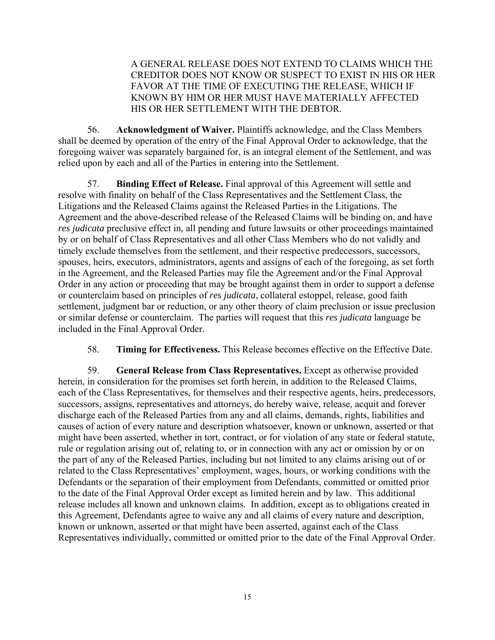A GENERAL RELEASE DOES NOT EXTEND TO CLAIMS WHICH THE CREDITOR DOES NOT KNOW OR SUSPECT TO EXIST IN HIS OR HER FAVOR AT THE TIME OF EXECUTING THE RELEASE, WHICH IF KNOWN BY HIM OR HER MUST HAVE MATERIALLY AFFECTED HIS OR HER SETTLEMENT WITH THE DEBTOR.

56. **Acknowledgment of Waiver.** Plaintiffs acknowledge, and the Class Members shall be deemed by operation of the entry of the Final Approval Order to acknowledge, that the foregoing waiver was separately bargained for, is an integral element of the Settlement, and was relied upon by each and all of the Parties in entering into the Settlement.

57. **Binding Effect of Release.** Final approval of this Agreement will settle and resolve with finality on behalf of the Class Representatives and the Settlement Class, the Litigations and the Released Claims against the Released Parties in the Litigations. The Agreement and the above-described release of the Released Claims will be binding on, and have *res judicata* preclusive effect in, all pending and future lawsuits or other proceedings maintained by or on behalf of Class Representatives and all other Class Members who do not validly and timely exclude themselves from the settlement, and their respective predecessors, successors, spouses, heirs, executors, administrators, agents and assigns of each of the foregoing, as set forth in the Agreement, and the Released Parties may file the Agreement and/or the Final Approval Order in any action or proceeding that may be brought against them in order to support a defense or counterclaim based on principles of *res judicata*, collateral estoppel, release, good faith settlement, judgment bar or reduction, or any other theory of claim preclusion or issue preclusion or similar defense or counterclaim. The parties will request that this *res judicata* language be included in the Final Approval Order.

58. **Timing for Effectiveness.** This Release becomes effective on the Effective Date.

59. **General Release from Class Representatives.** Except as otherwise provided herein, in consideration for the promises set forth herein, in addition to the Released Claims, each of the Class Representatives, for themselves and their respective agents, heirs, predecessors, successors, assigns, representatives and attorneys, do hereby waive, release, acquit and forever discharge each of the Released Parties from any and all claims, demands, rights, liabilities and causes of action of every nature and description whatsoever, known or unknown, asserted or that might have been asserted, whether in tort, contract, or for violation of any state or federal statute, rule or regulation arising out of, relating to, or in connection with any act or omission by or on the part of any of the Released Parties, including but not limited to any claims arising out of or related to the Class Representatives' employment, wages, hours, or working conditions with the Defendants or the separation of their employment from Defendants, committed or omitted prior to the date of the Final Approval Order except as limited herein and by law. This additional release includes all known and unknown claims. In addition, except as to obligations created in this Agreement, Defendants agree to waive any and all claims of every nature and description, known or unknown, asserted or that might have been asserted, against each of the Class Representatives individually, committed or omitted prior to the date of the Final Approval Order.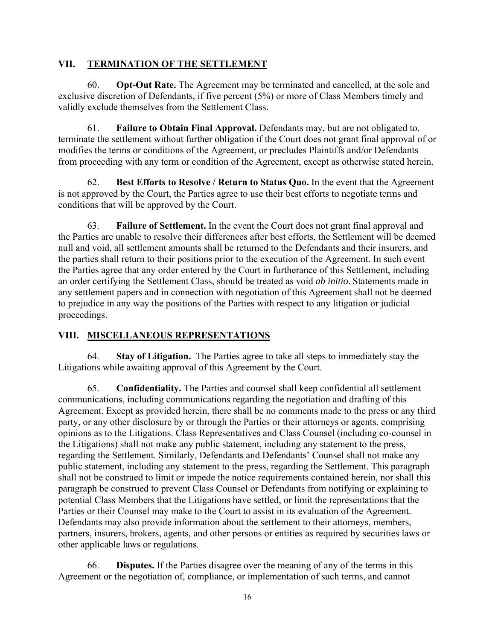#### **VII. TERMINATION OF THE SETTLEMENT**

60. **Opt-Out Rate.** The Agreement may be terminated and cancelled, at the sole and exclusive discretion of Defendants, if five percent (5%) or more of Class Members timely and validly exclude themselves from the Settlement Class.

61. **Failure to Obtain Final Approval.** Defendants may, but are not obligated to, terminate the settlement without further obligation if the Court does not grant final approval of or modifies the terms or conditions of the Agreement, or precludes Plaintiffs and/or Defendants from proceeding with any term or condition of the Agreement, except as otherwise stated herein.

62. **Best Efforts to Resolve / Return to Status Quo.** In the event that the Agreement is not approved by the Court, the Parties agree to use their best efforts to negotiate terms and conditions that will be approved by the Court.

63. **Failure of Settlement.** In the event the Court does not grant final approval and the Parties are unable to resolve their differences after best efforts, the Settlement will be deemed null and void, all settlement amounts shall be returned to the Defendants and their insurers, and the parties shall return to their positions prior to the execution of the Agreement. In such event the Parties agree that any order entered by the Court in furtherance of this Settlement, including an order certifying the Settlement Class, should be treated as void *ab initio*. Statements made in any settlement papers and in connection with negotiation of this Agreement shall not be deemed to prejudice in any way the positions of the Parties with respect to any litigation or judicial proceedings.

## **VIII. MISCELLANEOUS REPRESENTATIONS**

64. **Stay of Litigation.** The Parties agree to take all steps to immediately stay the Litigations while awaiting approval of this Agreement by the Court.

65. **Confidentiality.** The Parties and counsel shall keep confidential all settlement communications, including communications regarding the negotiation and drafting of this Agreement. Except as provided herein, there shall be no comments made to the press or any third party, or any other disclosure by or through the Parties or their attorneys or agents, comprising opinions as to the Litigations. Class Representatives and Class Counsel (including co-counsel in the Litigations) shall not make any public statement, including any statement to the press, regarding the Settlement. Similarly, Defendants and Defendants' Counsel shall not make any public statement, including any statement to the press, regarding the Settlement. This paragraph shall not be construed to limit or impede the notice requirements contained herein, nor shall this paragraph be construed to prevent Class Counsel or Defendants from notifying or explaining to potential Class Members that the Litigations have settled, or limit the representations that the Parties or their Counsel may make to the Court to assist in its evaluation of the Agreement. Defendants may also provide information about the settlement to their attorneys, members, partners, insurers, brokers, agents, and other persons or entities as required by securities laws or other applicable laws or regulations.

66. **Disputes.** If the Parties disagree over the meaning of any of the terms in this Agreement or the negotiation of, compliance, or implementation of such terms, and cannot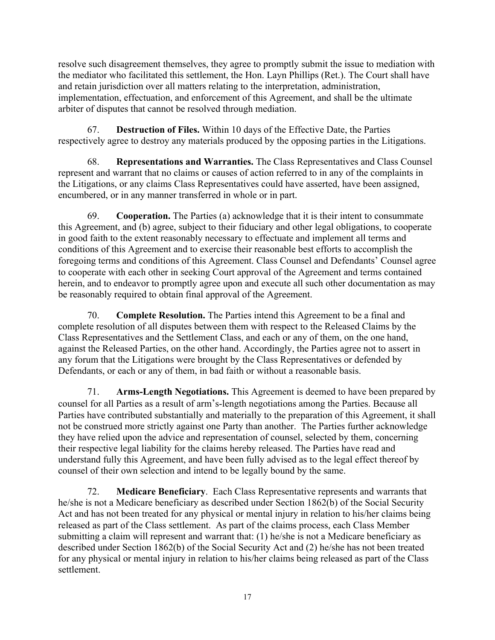resolve such disagreement themselves, they agree to promptly submit the issue to mediation with the mediator who facilitated this settlement, the Hon. Layn Phillips (Ret.). The Court shall have and retain jurisdiction over all matters relating to the interpretation, administration, implementation, effectuation, and enforcement of this Agreement, and shall be the ultimate arbiter of disputes that cannot be resolved through mediation.

67. **Destruction of Files.** Within 10 days of the Effective Date, the Parties respectively agree to destroy any materials produced by the opposing parties in the Litigations.

68. **Representations and Warranties.** The Class Representatives and Class Counsel represent and warrant that no claims or causes of action referred to in any of the complaints in the Litigations, or any claims Class Representatives could have asserted, have been assigned, encumbered, or in any manner transferred in whole or in part.

69. **Cooperation.** The Parties (a) acknowledge that it is their intent to consummate this Agreement, and (b) agree, subject to their fiduciary and other legal obligations, to cooperate in good faith to the extent reasonably necessary to effectuate and implement all terms and conditions of this Agreement and to exercise their reasonable best efforts to accomplish the foregoing terms and conditions of this Agreement. Class Counsel and Defendants' Counsel agree to cooperate with each other in seeking Court approval of the Agreement and terms contained herein, and to endeavor to promptly agree upon and execute all such other documentation as may be reasonably required to obtain final approval of the Agreement.

70. **Complete Resolution.** The Parties intend this Agreement to be a final and complete resolution of all disputes between them with respect to the Released Claims by the Class Representatives and the Settlement Class, and each or any of them, on the one hand, against the Released Parties, on the other hand. Accordingly, the Parties agree not to assert in any forum that the Litigations were brought by the Class Representatives or defended by Defendants, or each or any of them, in bad faith or without a reasonable basis.

71. **Arms-Length Negotiations.** This Agreement is deemed to have been prepared by counsel for all Parties as a result of arm's-length negotiations among the Parties. Because all Parties have contributed substantially and materially to the preparation of this Agreement, it shall not be construed more strictly against one Party than another. The Parties further acknowledge they have relied upon the advice and representation of counsel, selected by them, concerning their respective legal liability for the claims hereby released. The Parties have read and understand fully this Agreement, and have been fully advised as to the legal effect thereof by counsel of their own selection and intend to be legally bound by the same.

72. **Medicare Beneficiary**. Each Class Representative represents and warrants that he/she is not a Medicare beneficiary as described under Section 1862(b) of the Social Security Act and has not been treated for any physical or mental injury in relation to his/her claims being released as part of the Class settlement. As part of the claims process, each Class Member submitting a claim will represent and warrant that: (1) he/she is not a Medicare beneficiary as described under Section 1862(b) of the Social Security Act and (2) he/she has not been treated for any physical or mental injury in relation to his/her claims being released as part of the Class settlement.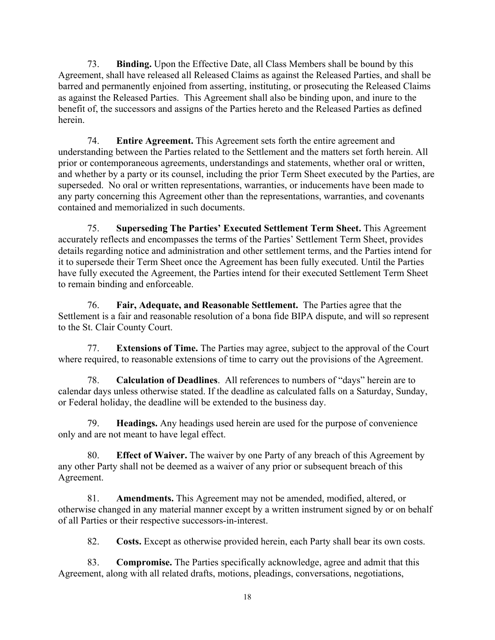73. **Binding.** Upon the Effective Date, all Class Members shall be bound by this Agreement, shall have released all Released Claims as against the Released Parties, and shall be barred and permanently enjoined from asserting, instituting, or prosecuting the Released Claims as against the Released Parties. This Agreement shall also be binding upon, and inure to the benefit of, the successors and assigns of the Parties hereto and the Released Parties as defined herein.

74. **Entire Agreement.** This Agreement sets forth the entire agreement and understanding between the Parties related to the Settlement and the matters set forth herein. All prior or contemporaneous agreements, understandings and statements, whether oral or written, and whether by a party or its counsel, including the prior Term Sheet executed by the Parties, are superseded. No oral or written representations, warranties, or inducements have been made to any party concerning this Agreement other than the representations, warranties, and covenants contained and memorialized in such documents.

75. **Superseding The Parties' Executed Settlement Term Sheet.** This Agreement accurately reflects and encompasses the terms of the Parties' Settlement Term Sheet, provides details regarding notice and administration and other settlement terms, and the Parties intend for it to supersede their Term Sheet once the Agreement has been fully executed. Until the Parties have fully executed the Agreement, the Parties intend for their executed Settlement Term Sheet to remain binding and enforceable.

76. **Fair, Adequate, and Reasonable Settlement.** The Parties agree that the Settlement is a fair and reasonable resolution of a bona fide BIPA dispute, and will so represent to the St. Clair County Court.

77. **Extensions of Time.** The Parties may agree, subject to the approval of the Court where required, to reasonable extensions of time to carry out the provisions of the Agreement.

78. **Calculation of Deadlines**. All references to numbers of "days" herein are to calendar days unless otherwise stated. If the deadline as calculated falls on a Saturday, Sunday, or Federal holiday, the deadline will be extended to the business day.

79. **Headings.** Any headings used herein are used for the purpose of convenience only and are not meant to have legal effect.

80. **Effect of Waiver.** The waiver by one Party of any breach of this Agreement by any other Party shall not be deemed as a waiver of any prior or subsequent breach of this Agreement.

81. **Amendments.** This Agreement may not be amended, modified, altered, or otherwise changed in any material manner except by a written instrument signed by or on behalf of all Parties or their respective successors-in-interest.

82. **Costs.** Except as otherwise provided herein, each Party shall bear its own costs.

83. **Compromise.** The Parties specifically acknowledge, agree and admit that this Agreement, along with all related drafts, motions, pleadings, conversations, negotiations,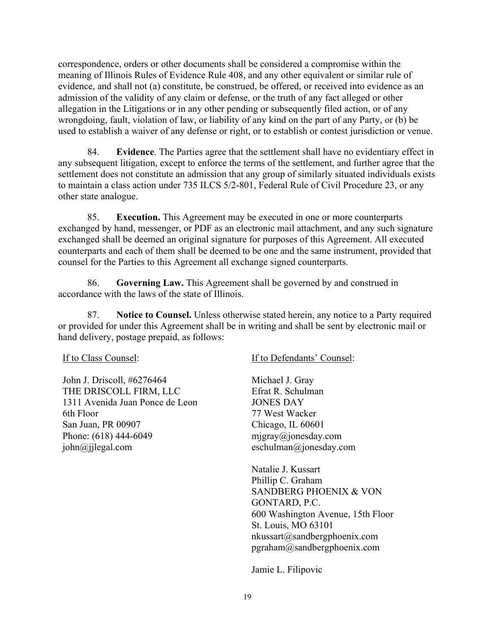correspondence, orders or other documents shall be considered a compromise within the meaning of Illinois Rules of Evidence Rule 408, and any other equivalent or similar rule of evidence, and shall not (a) constitute, be construed, be offered, or received into evidence as an admission of the validity of any claim or defense, or the truth of any fact alleged or other allegation in the Litigations or in any other pending or subsequently filed action, or of any wrongdoing, fault, violation of law, or liability of any kind on the part of any Party, or (b) be used to establish a waiver of any defense or right, or to establish or contest jurisdiction or venue.

84. **Evidence**. The Parties agree that the settlement shall have no evidentiary effect in any subsequent litigation, except to enforce the terms of the settlement, and further agree that the settlement does not constitute an admission that any group of similarly situated individuals exists to maintain a class action under 735 ILCS 5/2-801, Federal Rule of Civil Procedure 23, or any other state analogue.

85. **Execution.** This Agreement may be executed in one or more counterparts exchanged by hand, messenger, or PDF as an electronic mail attachment, and any such signature exchanged shall be deemed an original signature for purposes of this Agreement. All executed counterparts and each of them shall be deemed to be one and the same instrument, provided that counsel for the Parties to this Agreement all exchange signed counterparts.

86. **Governing Law.** This Agreement shall be governed by and construed in accordance with the laws of the state of Illinois.

87. **Notice to Counsel.** Unless otherwise stated herein, any notice to a Party required or provided for under this Agreement shall be in writing and shall be sent by electronic mail or hand delivery, postage prepaid, as follows:

If to Class Counsel:

John J. Driscoll, #6276464 THE DRISCOLL FIRM, LLC 1311 Avenida Juan Ponce de Leon 6th Floor San Juan, PR 00907 Phone: (618) 444-6049 john@jjlegal.com

If to Defendants' Counsel:

Michael J. Gray Efrat R. Schulman JONES DAY 77 West Wacker Chicago, IL 60601 mjgray@jonesday.com eschulman@jonesday.com

Natalie J. Kussart Phillip C. Graham SANDBERG PHOENIX & VON GONTARD, P.C. 600 Washington Avenue, 15th Floor St. Louis, MO 63101 nkussart@sandbergphoenix.com pgraham@sandbergphoenix.com

Jamie L. Filipovic